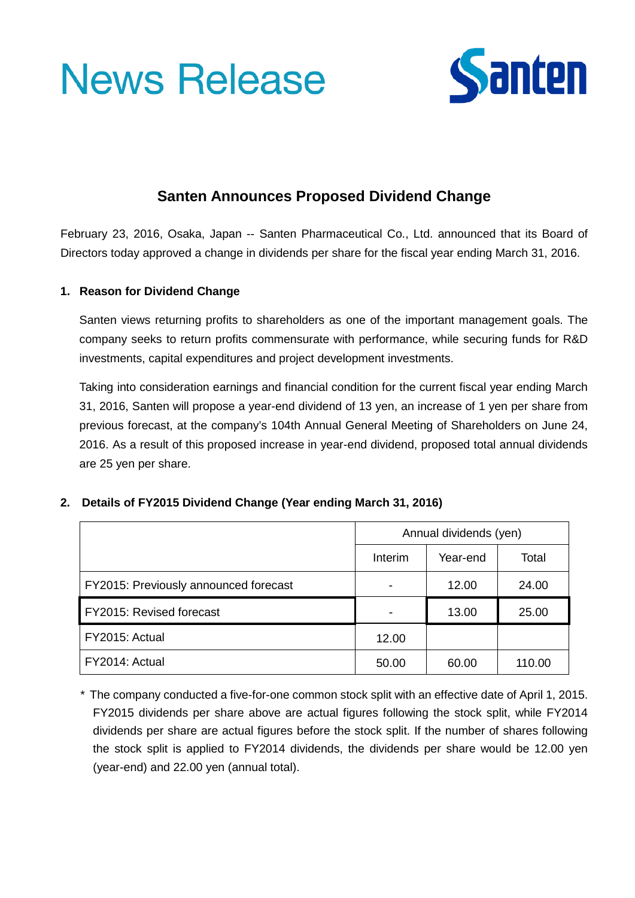# **News Release**



# **Santen Announces Proposed Dividend Change**

February 23, 2016, Osaka, Japan -- Santen Pharmaceutical Co., Ltd. announced that its Board of Directors today approved a change in dividends per share for the fiscal year ending March 31, 2016.

## **1. Reason for Dividend Change**

Santen views returning profits to shareholders as one of the important management goals. The company seeks to return profits commensurate with performance, while securing funds for R&D investments, capital expenditures and project development investments.

Taking into consideration earnings and financial condition for the current fiscal year ending March 31, 2016, Santen will propose a year-end dividend of 13 yen, an increase of 1 yen per share from previous forecast, at the company's 104th Annual General Meeting of Shareholders on June 24, 2016. As a result of this proposed increase in year-end dividend, proposed total annual dividends are 25 yen per share.

## **2. Details of FY2015 Dividend Change (Year ending March 31, 2016)**

|                                       | Annual dividends (yen) |          |        |
|---------------------------------------|------------------------|----------|--------|
|                                       | Interim                | Year-end | Total  |
| FY2015: Previously announced forecast |                        | 12.00    | 24.00  |
| FY2015: Revised forecast              |                        | 13.00    | 25.00  |
| FY2015: Actual                        | 12.00                  |          |        |
| FY2014: Actual                        | 50.00                  | 60.00    | 110.00 |

\* The company conducted a five-for-one common stock split with an effective date of April 1, 2015. FY2015 dividends per share above are actual figures following the stock split, while FY2014 dividends per share are actual figures before the stock split. If the number of shares following the stock split is applied to FY2014 dividends, the dividends per share would be 12.00 yen (year-end) and 22.00 yen (annual total).